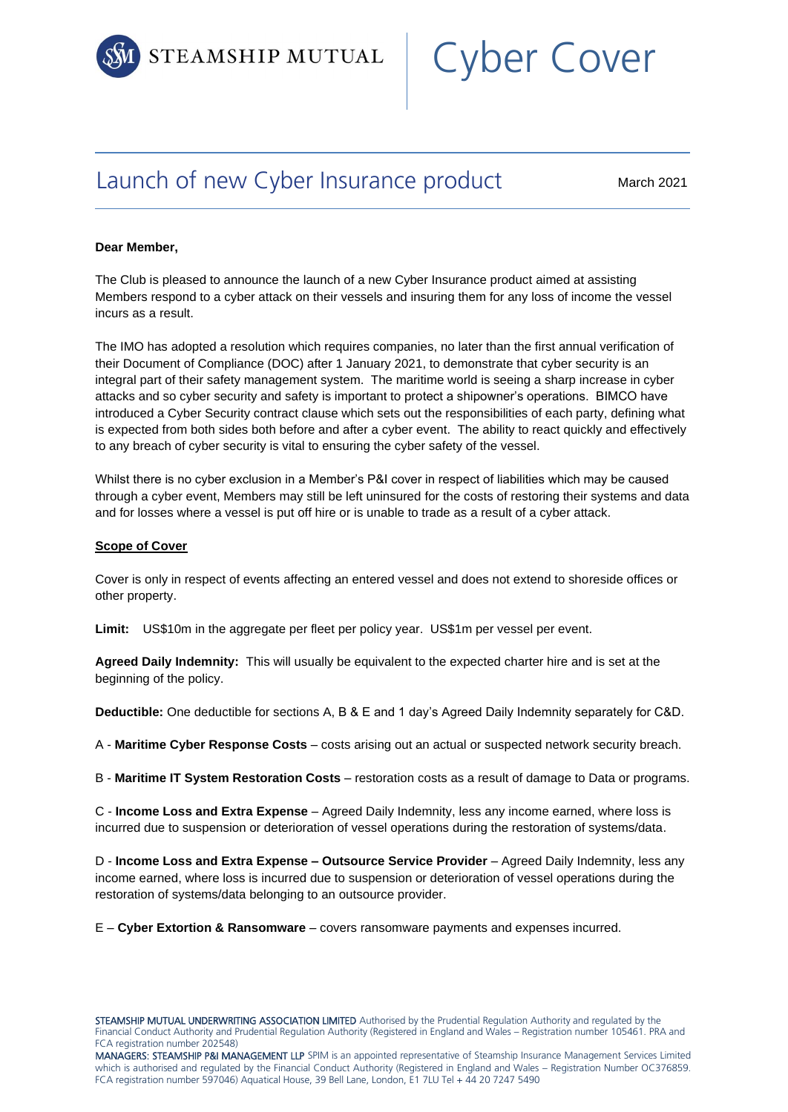

# Cyber Cover

## Launch of new Cyber Insurance product

March 2021

#### **Dear Member,**

The Club is pleased to announce the launch of a new Cyber Insurance product aimed at assisting Members respond to a cyber attack on their vessels and insuring them for any loss of income the vessel incurs as a result.

The IMO has adopted a resolution which requires companies, no later than the first annual verification of their Document of Compliance (DOC) after 1 January 2021, to demonstrate that cyber security is an integral part of their safety management system. The maritime world is seeing a sharp increase in cyber attacks and so cyber security and safety is important to protect a shipowner's operations. BIMCO have introduced a Cyber Security contract clause which sets out the responsibilities of each party, defining what is expected from both sides both before and after a cyber event. The ability to react quickly and effectively to any breach of cyber security is vital to ensuring the cyber safety of the vessel.

Whilst there is no cyber exclusion in a Member's P&I cover in respect of liabilities which may be caused through a cyber event, Members may still be left uninsured for the costs of restoring their systems and data and for losses where a vessel is put off hire or is unable to trade as a result of a cyber attack.

#### **Scope of Cover**

Cover is only in respect of events affecting an entered vessel and does not extend to shoreside offices or other property.

**Limit:** US\$10m in the aggregate per fleet per policy year. US\$1m per vessel per event.

**Agreed Daily Indemnity:** This will usually be equivalent to the expected charter hire and is set at the beginning of the policy.

**Deductible:** One deductible for sections A, B & E and 1 day's Agreed Daily Indemnity separately for C&D.

A - **Maritime Cyber Response Costs** – costs arising out an actual or suspected network security breach.

B - **Maritime IT System Restoration Costs** – restoration costs as a result of damage to Data or programs.

C - **Income Loss and Extra Expense** – Agreed Daily Indemnity, less any income earned, where loss is incurred due to suspension or deterioration of vessel operations during the restoration of systems/data.

D - **Income Loss and Extra Expense – Outsource Service Provider** – Agreed Daily Indemnity, less any income earned, where loss is incurred due to suspension or deterioration of vessel operations during the restoration of systems/data belonging to an outsource provider.

E – **Cyber Extortion & Ransomware** – covers ransomware payments and expenses incurred.

STEAMSHIP MUTUAL UNDERWRITING ASSOCIATION LIMITED Authorised by the Prudential Regulation Authority and regulated by the Financial Conduct Authority and Prudential Regulation Authority (Registered in England and Wales – Registration number 105461. PRA and FCA registration number 202548)